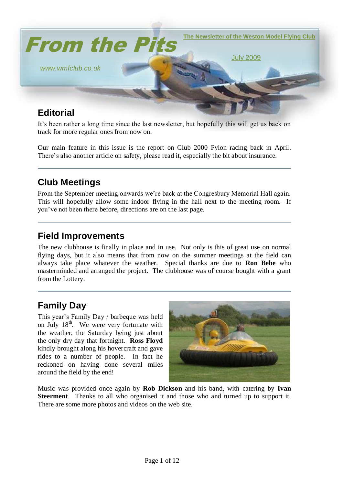

It's been rather a long time since the last newsletter, but hopefully this will get us back on track for more regular ones from now on.

Our main feature in this issue is the report on Club 2000 Pylon racing back in April. There's also another article on safety, please read it, especially the bit about insurance.

# **Club Meetings**

From the September meeting onwards we"re back at the Congresbury Memorial Hall again. This will hopefully allow some indoor flying in the hall next to the meeting room. If you"ve not been there before, directions are on the last page.

### **Field Improvements**

The new clubhouse is finally in place and in use. Not only is this of great use on normal flying days, but it also means that from now on the summer meetings at the field can always take place whatever the weather. Special thanks are due to **Ron Bebe** who masterminded and arranged the project. The clubhouse was of course bought with a grant from the Lottery.

# **Family Day**

This year"s Family Day / barbeque was held on July  $18^{th}$ . We were very fortunate with the weather, the Saturday being just about the only dry day that fortnight. **Ross Floyd** kindly brought along his hovercraft and gave rides to a number of people. In fact he reckoned on having done several miles around the field by the end!



Music was provided once again by **Rob Dickson** and his band, with catering by **Ivan Steerment**. Thanks to all who organised it and those who and turned up to support it. There are some more photos and videos on the web site.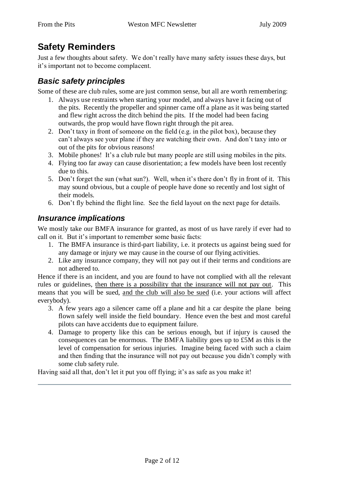# **Safety Reminders**

Just a few thoughts about safety. We don"t really have many safety issues these days, but it"s important not to become complacent.

### *Basic safety principles*

Some of these are club rules, some are just common sense, but all are worth remembering:

- 1. Always use restraints when starting your model, and always have it facing out of the pits. Recently the propeller and spinner came off a plane as it was being started and flew right across the ditch behind the pits. If the model had been facing outwards, the prop would have flown right through the pit area.
- 2. Don"t taxy in front of someone on the field (e.g. in the pilot box), because they can"t always see your plane if they are watching their own. And don"t taxy into or out of the pits for obvious reasons!
- 3. Mobile phones! It's a club rule but many people are still using mobiles in the pits.
- 4. Flying too far away can cause disorientation; a few models have been lost recently due to this.
- 5. Don't forget the sun (what sun?). Well, when it's there don't fly in front of it. This may sound obvious, but a couple of people have done so recently and lost sight of their models.
- 6. Don"t fly behind the flight line. See the field layout on the next page for details.

### *Insurance implications*

We mostly take our BMFA insurance for granted, as most of us have rarely if ever had to call on it. But it's important to remember some basic facts:

- 1. The BMFA insurance is third-part liability, i.e. it protects us against being sued for any damage or injury we may cause in the course of our flying activities.
- 2. Like any insurance company, they will not pay out if their terms and conditions are not adhered to.

Hence if there is an incident, and you are found to have not complied with all the relevant rules or guidelines, then there is a possibility that the insurance will not pay out. This means that you will be sued, and the club will also be sued (i.e. your actions will affect everybody).

- 3. A few years ago a silencer came off a plane and hit a car despite the plane being flown safely well inside the field boundary. Hence even the best and most careful pilots can have accidents due to equipment failure.
- 4. Damage to property like this can be serious enough, but if injury is caused the consequences can be enormous. The BMFA liability goes up to £5M as this is the level of compensation for serious injuries. Imagine being faced with such a claim and then finding that the insurance will not pay out because you didn"t comply with some club safety rule.

Having said all that, don't let it put you off flying; it's as safe as you make it!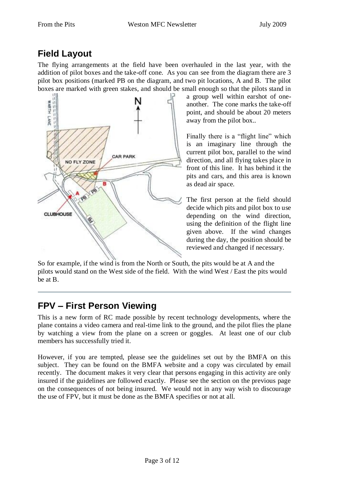# **Field Layout**

The flying arrangements at the field have been overhauled in the last year, with the addition of pilot boxes and the take-off cone. As you can see from the diagram there are 3 pilot box positions (marked PB on the diagram, and two pit locations, A and B. The pilot boxes are marked with green stakes, and should be small enough so that the pilots stand in



a group well within earshot of oneanother. The cone marks the take-off point, and should be about 20 meters away from the pilot box..

Finally there is a "flight line" which is an imaginary line through the current pilot box, parallel to the wind direction, and all flying takes place in front of this line. It has behind it the pits and cars, and this area is known as dead air space.

The first person at the field should decide which pits and pilot box to use depending on the wind direction, using the definition of the flight line given above. If the wind changes during the day, the position should be reviewed and changed if necessary.

So for example, if the wind is from the North or South, the pits would be at A and the pilots would stand on the West side of the field. With the wind West / East the pits would be at B.

# **FPV – First Person Viewing**

This is a new form of RC made possible by recent technology developments, where the plane contains a video camera and real-time link to the ground, and the pilot flies the plane by watching a view from the plane on a screen or goggles. At least one of our club members has successfully tried it.

However, if you are tempted, please see the guidelines set out by the BMFA on this subject. They can be found on the BMFA website and a copy was circulated by email recently. The document makes it very clear that persons engaging in this activity are only insured if the guidelines are followed exactly. Please see the section on the previous page on the consequences of not being insured. We would not in any way wish to discourage the use of FPV, but it must be done as the BMFA specifies or not at all.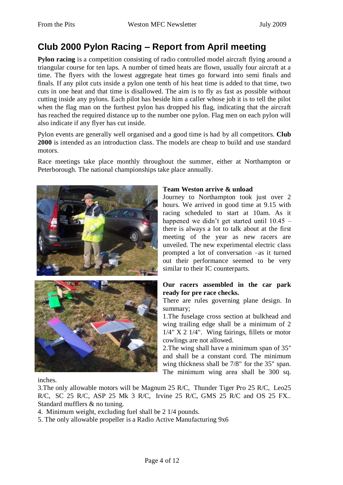# **Club 2000 Pylon Racing – Report from April meeting**

**Pylon racing** is a competition consisting of radio controlled model aircraft flying around a triangular course for ten laps. A number of timed heats are flown, usually four aircraft at a time. The flyers with the lowest aggregate heat times go forward into semi finals and finals. If any pilot cuts inside a pylon one tenth of his heat time is added to that time, two cuts in one heat and that time is disallowed. The aim is to fly as fast as possible without cutting inside any pylons. Each pilot has beside him a caller whose job it is to tell the pilot when the flag man on the furthest pylon has dropped his flag, indicating that the aircraft has reached the required distance up to the number one pylon. Flag men on each pylon will also indicate if any flyer has cut inside.

Pylon events are generally well organised and a good time is had by all competitors. **Club 2000** is intended as an introduction class. The models are cheap to build and use standard motors.

Race meetings take place monthly throughout the summer, either at Northampton or Peterborough. The national championships take place annually.





### **Team Weston arrive & unload**

Journey to Northampton took just over 2 hours. We arrived in good time at 9.15 with racing scheduled to start at 10am. As it happened we didn"t get started until 10.45 – there is always a lot to talk about at the first meeting of the year as new racers are unveiled. The new experimental electric class prompted a lot of conversation –as it turned out their performance seemed to be very similar to their IC counterparts.

### **Our racers assembled in the car park ready for pre race checks.**

There are rules governing plane design. In summary;

1.The fuselage cross section at bulkhead and wing trailing edge shall be a minimum of 2  $1/4$ " X 2  $1/4$ ". Wing fairings, fillets or motor cowlings are not allowed.

2.The wing shall have a minimum span of 35" and shall be a constant cord. The minimum wing thickness shall be 7/8" for the 35" span. The minimum wing area shall be 300 sq.

inches.

3.The only allowable motors will be Magnum 25 R/C, Thunder Tiger Pro 25 R/C, Leo25 R/C, SC 25 R/C, ASP 25 Mk 3 R/C, Irvine 25 R/C, GMS 25 R/C and OS 25 FX.. Standard mufflers & no tuning.

4. Minimum weight, excluding fuel shall be 2 1/4 pounds.

5. The only allowable propeller is a Radio Active Manufacturing 9x6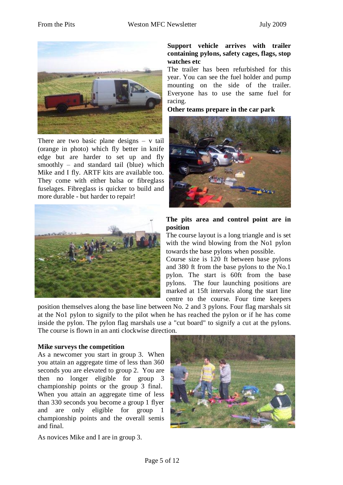

There are two basic plane designs  $-$  v tail (orange in photo) which fly better in knife edge but are harder to set up and fly smoothly – and standard tail (blue) which Mike and I fly. ARTF kits are available too. They come with either balsa or fibreglass fuselages. Fibreglass is quicker to build and more durable - but harder to repair!



### **Support vehicle arrives with trailer containing pylons, safety cages, flags, stop watches etc**

The trailer has been refurbished for this year. You can see the fuel holder and pump mounting on the side of the trailer. Everyone has to use the same fuel for racing.

**Other teams prepare in the car park**



#### **The pits area and control point are in position**

The course layout is a long triangle and is set with the wind blowing from the No1 pylon towards the base pylons when possible.

Course size is 120 ft between base pylons and 380 ft from the base pylons to the No.1 pylon. The start is 60ft from the base pylons. The four launching positions are marked at 15ft intervals along the start line centre to the course. Four time keepers

position themselves along the base line between No. 2 and 3 pylons. Four flag marshals sit at the No1 pylon to signify to the pilot when he has reached the pylon or if he has come inside the pylon. The pylon flag marshals use a "cut board" to signify a cut at the pylons. The course is flown in an anti clockwise direction.

### **Mike surveys the competition**

As a newcomer you start in group 3. When you attain an aggregate time of less than 360 seconds you are elevated to group 2. You are then no longer eligible for group 3 championship points or the group 3 final. When you attain an aggregate time of less than 330 seconds you become a group 1 flyer and are only eligible for group 1 championship points and the overall semis and final.



As novices Mike and I are in group 3.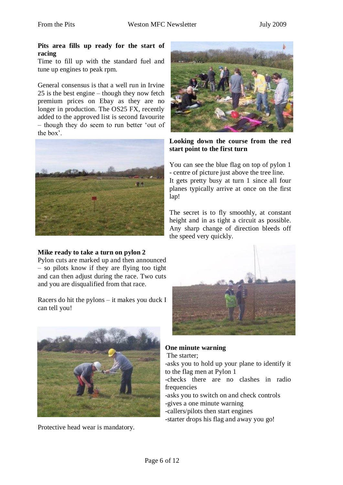#### **Pits area fills up ready for the start of racing**

Time to fill up with the standard fuel and tune up engines to peak rpm.

General consensus is that a well run in Irvine 25 is the best engine – though they now fetch premium prices on Ebay as they are no longer in production. The OS25 FX, recently added to the approved list is second favourite – though they do seem to run better "out of the box'



### **Mike ready to take a turn on pylon 2**

Pylon cuts are marked up and then announced – so pilots know if they are flying too tight and can then adjust during the race. Two cuts and you are disqualified from that race.

Racers do hit the pylons – it makes you duck I can tell you!



Protective head wear is mandatory.



**Looking down the course from the red start point to the first turn**

You can see the blue flag on top of pylon 1 - centre of picture just above the tree line. It gets pretty busy at turn 1 since all four planes typically arrive at once on the first lap!

The secret is to fly smoothly, at constant height and in as tight a circuit as possible. Any sharp change of direction bleeds off the speed very quickly.



### **One minute warning**

The starter;

-asks you to hold up your plane to identify it to the flag men at Pylon 1

-checks there are no clashes in radio frequencies

-asks you to switch on and check controls -gives a one minute warning

-callers/pilots then start engines

-starter drops his flag and away you go!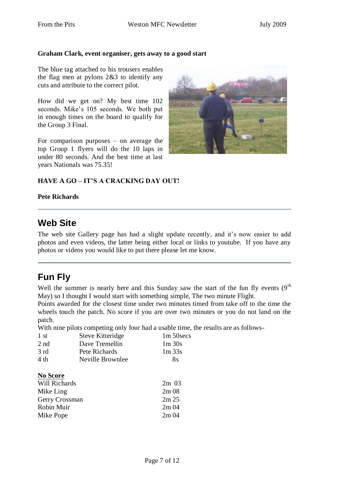#### **Graham Clark, event organiser, gets away to a good start**

The blue tag attached to his trousers enables the flag men at pylons 2&3 to identify any cuts and attribute to the correct pilot.

How did we get on? My best time 102 seconds. Mike's 105 seconds. We both put in enough times on the board to qualify for the Group 3 Final.

For comparison purposes – on average the top Group 1 flyers will do the 10 laps in under 80 seconds. And the best time at last years Nationals was 75.35!



### **HAVE A GO – IT'S A CRACKING DAY OUT!**

#### **Pete Richards**

### **Web Site**

The web site Gallery page has had a slight update recently, and it's now easier to add photos and even videos, the latter being either local or links to youtube. If you have any photos or videos you would like to put there please let me know.

### **Fun Fly**

Well the summer is nearly here and this Sunday saw the start of the fun fly events  $(9<sup>th</sup>$ May) so I thought I would start with something simple, The two minute Flight.

Points awarded for the closest time under two minutes timed from take off to the time the wheels touch the patch. No score if you are over two minutes or you do not land on the patch.

With nine pilots competing only four had a usable time, the results are as follows-

| 1st             | Steve Kitteridge | $1m 50$ secs |
|-----------------|------------------|--------------|
| 2 <sub>nd</sub> | Dave Tremellin   | 1m 30s       |
| 3 rd            | Pete Richards    | $1m\,33s$    |
| 4 th            | Neville Brownlee | 8s           |
|                 |                  |              |
|                 |                  |              |

#### **No Score**

| Will Richards  | $2m\,03$         |
|----------------|------------------|
| Mike Ling      | 2m <sub>08</sub> |
| Gerry Crossman | 2m 25            |
| Robin Muir     | 2m <sub>04</sub> |
| Mike Pope      | 2m <sub>04</sub> |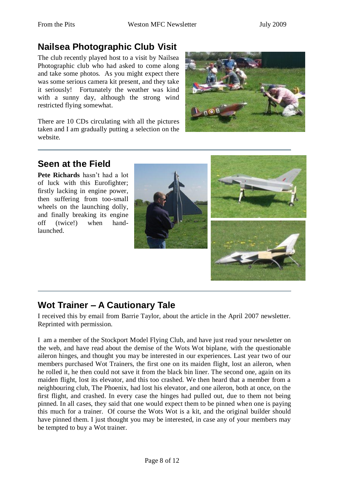# **Nailsea Photographic Club Visit**

The club recently played host to a visit by Nailsea Photographic club who had asked to come along and take some photos. As you might expect there was some serious camera kit present, and they take it seriously! Fortunately the weather was kind with a sunny day, although the strong wind restricted flying somewhat.

There are 10 CDs circulating with all the pictures taken and I am gradually putting a selection on the website.



# **Seen at the Field**

**Pete Richards** hasn"t had a lot of luck with this Eurofighter; firstly lacking in engine power, then suffering from too-small wheels on the launching dolly, and finally breaking its engine off (twice!) when handlaunched.





# **Wot Trainer – A Cautionary Tale**

I received this by email from Barrie Taylor, about the article in the April 2007 newsletter. Reprinted with permission.

I am a member of the Stockport Model Flying Club, and have just read your newsletter on the web, and have read about the demise of the Wots Wot biplane, with the questionable aileron hinges, and thought you may be interested in our experiences. Last year two of our members purchased Wot Trainers, the first one on its maiden flight, lost an aileron, when he rolled it, he then could not save it from the black bin liner. The second one, again on its maiden flight, lost its elevator, and this too crashed. We then heard that a member from a neighbouring club, The Phoenix, had lost his elevator, and one aileron, both at once, on the first flight, and crashed. In every case the hinges had pulled out, due to them not being pinned. In all cases, they said that one would expect them to be pinned when one is paying this much for a trainer. Of course the Wots Wot is a kit, and the original builder should have pinned them. I just thought you may be interested, in case any of your members may be tempted to buy a Wot trainer.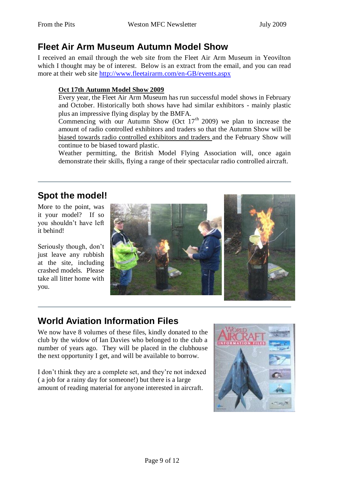# **Fleet Air Arm Museum Autumn Model Show**

I received an email through the web site from the Fleet Air Arm Museum in Yeovilton which I thought may be of interest. Below is an extract from the email, and you can read more at their web site<http://www.fleetairarm.com/en-GB/events.aspx>

### **Oct 17th Autumn Model Show 2009**

Every year, the Fleet Air Arm Museum has run successful model shows in February and October. Historically both shows have had similar exhibitors - mainly plastic plus an impressive flying display by the BMFA.

Commencing with our Autumn Show (Oct  $17<sup>th</sup>$  2009) we plan to increase the amount of radio controlled exhibitors and traders so that the Autumn Show will be biased towards radio controlled exhibitors and traders and the February Show will continue to be biased toward plastic.

Weather permitting, the British Model Flying Association will, once again demonstrate their skills, flying a range of their spectacular radio controlled aircraft.

# **Spot the model!**

More to the point, was it your model? If so you shouldn"t have left it behind!

Seriously though, don"t just leave any rubbish at the site, including crashed models. Please take all litter home with you.



# **World Aviation Information Files**

We now have 8 volumes of these files, kindly donated to the club by the widow of Ian Davies who belonged to the club a number of years ago. They will be placed in the clubhouse the next opportunity I get, and will be available to borrow.

I don"t think they are a complete set, and they"re not indexed ( a job for a rainy day for someone!) but there is a large amount of reading material for anyone interested in aircraft.

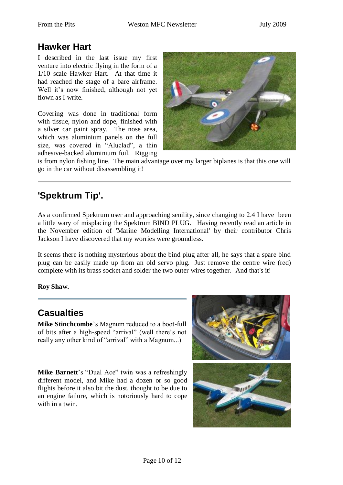## **Hawker Hart**

I described in the last issue my first venture into electric flying in the form of a 1/10 scale Hawker Hart. At that time it had reached the stage of a bare airframe. Well it's now finished, although not yet flown as I write.

Covering was done in traditional form with tissue, nylon and dope, finished with a silver car paint spray. The nose area, which was aluminium panels on the full size, was covered in "Aluclad", a thin adhesive-backed aluminium foil. Rigging



is from nylon fishing line. The main advantage over my larger biplanes is that this one will go in the car without disassembling it!

# **'Spektrum Tip'.**

As a confirmed Spektrum user and approaching senility, since changing to 2.4 I have been a little wary of misplacing the Spektrum BIND PLUG. Having recently read an article in the November edition of 'Marine Modelling International' by their contributor Chris Jackson I have discovered that my worries were groundless.

It seems there is nothing mysterious about the bind plug after all, he says that a spare bind plug can be easily made up from an old servo plug. Just remove the centre wire (red) complete with its brass socket and solder the two outer wires together. And that's it!

**Roy Shaw.**

# **Casualties**

**Mike Stinchcombe**"s Magnum reduced to a boot-full of bits after a high-speed "arrival" (well there"s not really any other kind of "arrival" with a Magnum...)

Mike Barnett's "Dual Ace" twin was a refreshingly different model, and Mike had a dozen or so good flights before it also bit the dust, thought to be due to an engine failure, which is notoriously hard to cope with in a twin.

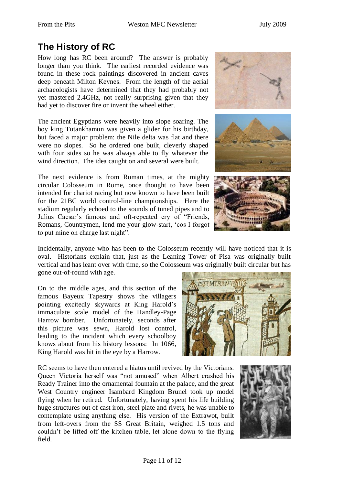# **The History of RC**

How long has RC been around? The answer is probably longer than you think. The earliest recorded evidence was found in these rock paintings discovered in ancient caves deep beneath Milton Keynes. From the length of the aerial archaeologists have determined that they had probably not yet mastered 2.4GHz, not really surprising given that they had yet to discover fire or invent the wheel either.

The ancient Egyptians were heavily into slope soaring. The boy king Tutankhamun was given a glider for his birthday, but faced a major problem: the Nile delta was flat and there were no slopes. So he ordered one built, cleverly shaped with four sides so he was always able to fly whatever the wind direction. The idea caught on and several were built.

The next evidence is from Roman times, at the mighty circular Colosseum in Rome, once thought to have been intended for chariot racing but now known to have been built for the 21BC world control-line championships. Here the stadium regularly echoed to the sounds of tuned pipes and to Julius Caesar's famous and oft-repeated cry of "Friends, Romans, Countrymen, lend me your glow-start, "cos I forgot to put mine on charge last night".







Incidentally, anyone who has been to the Colosseum recently will have noticed that it is oval. Historians explain that, just as the Leaning Tower of Pisa was originally built vertical and has leant over with time, so the Colosseum was originally built circular but has gone out-of-round with age.

On to the middle ages, and this section of the famous Bayeux Tapestry shows the villagers pointing excitedly skywards at King Harold"s immaculate scale model of the Handley-Page Harrow bomber. Unfortunately, seconds after this picture was sewn, Harold lost control, leading to the incident which every schoolboy knows about from his history lessons: In 1066, King Harold was hit in the eye by a Harrow.

RC seems to have then entered a hiatus until revived by the Victorians. Queen Victoria herself was "not amused" when Albert crashed his Ready Trainer into the ornamental fountain at the palace, and the great West Country engineer Isambard Kingdom Brunel took up model flying when he retired. Unfortunately, having spent his life building huge structures out of cast iron, steel plate and rivets, he was unable to contemplate using anything else. His version of the Extrawot, built from left-overs from the SS Great Britain, weighed 1.5 tons and couldn"t be lifted off the kitchen table, let alone down to the flying field.